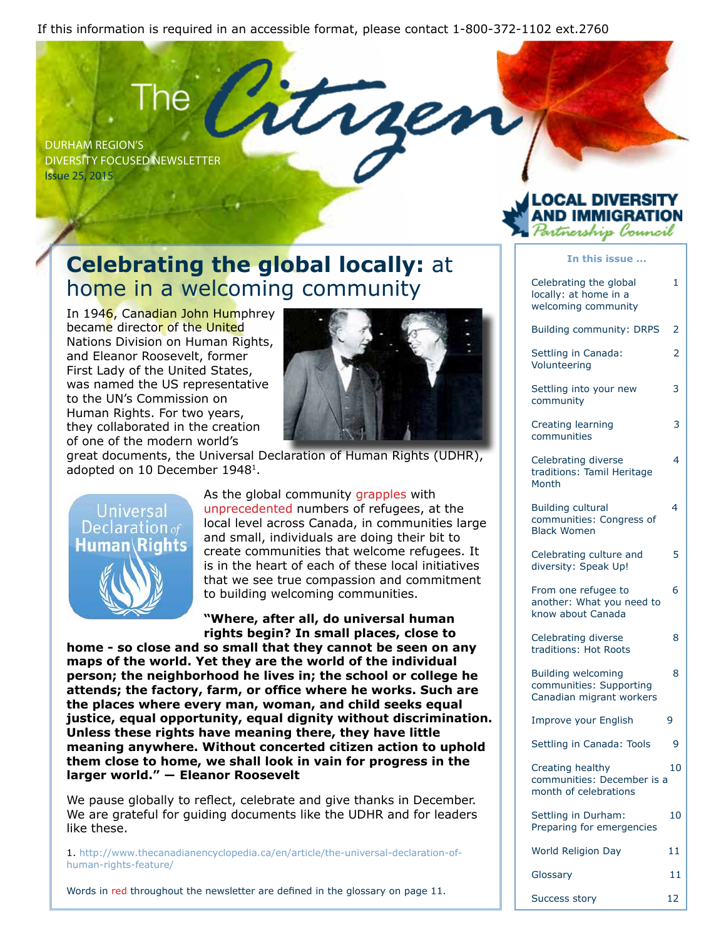If this information is required in an accessible format, please contact 1-800-372-1102 ext.2760

Durham Region's Diversity Focused Newsletter Issue 25, 2015

### **Celebrating the global locally:** at home in a welcoming community

In 1946, Canadian John Humphrey became director of the United Nations Division on Human Rights, and Eleanor Roosevelt, former First Lady of the United States, was named the US representative to the UN's Commission on Human Rights. For two years, they collaborated in the creation of one of the modern world's



 $\boldsymbol{\mathcal{U}}$ 

great documents, the Universal Declaration of Human Rights (UDHR), adopted on 10 December 19481.



As the global community grapples with unprecedented numbers of refugees, at the local level across Canada, in communities large and small, individuals are doing their bit to create communities that welcome refugees. It is in the heart of each of these local initiatives that we see true compassion and commitment to building welcoming communities.

#### **"Where, after all, do universal human rights begin? In small places, close to**

**home - so close and so small that they cannot be seen on any maps of the world. Yet they are the world of the individual person; the neighborhood he lives in; the school or college he attends; the factory, farm, or office where he works. Such are the places where every man, woman, and child seeks equal justice, equal opportunity, equal dignity without discrimination. Unless these rights have meaning there, they have little meaning anywhere. Without concerted citizen action to uphold them close to home, we shall look in vain for progress in the larger world." ― Eleanor Roosevelt**

We pause globally to reflect, celebrate and give thanks in December. We are grateful for guiding documents like the UDHR and for leaders like these.

1. http://www.thecanadianencyclopedia.ca/en/article/the-universal-declaration-ofhuman-rights-feature/

Words in red throughout the newsletter are defined in the glossary on page 11.

| Partnership Council                                                        |                          |  |  |
|----------------------------------------------------------------------------|--------------------------|--|--|
| In this issue                                                              |                          |  |  |
| Celebrating the global<br>locally: at home in a<br>welcoming community     | 1                        |  |  |
| <b>Building community: DRPS</b>                                            | 2                        |  |  |
| Settling in Canada:<br>Volunteering                                        | $\overline{\mathcal{L}}$ |  |  |
| Settling into your new<br>community                                        | 3                        |  |  |
| Creating learning<br>communities                                           | 3                        |  |  |
| Celebrating diverse<br>traditions: Tamil Heritage<br>Month                 | 4                        |  |  |
| <b>Building cultural</b><br>communities: Congress of<br><b>Black Women</b> | 4                        |  |  |
| Celebrating culture and                                                    | 5                        |  |  |

OCAL DIVERS.

diversity: Speak Up! From one refugee to 6 another: What you need to

know about Canada

Celebrating diverse 8 traditions: Hot Roots

Building welcoming 8 communities: Supporting Canadian migrant workers

Improve your English 9

Settling in Canada: Tools 9

Creating healthy 10 communities: December is a month of celebrations

Settling in Durham: 10 Preparing for emergencies World Religion Day 11

Glossary 11

Success story 12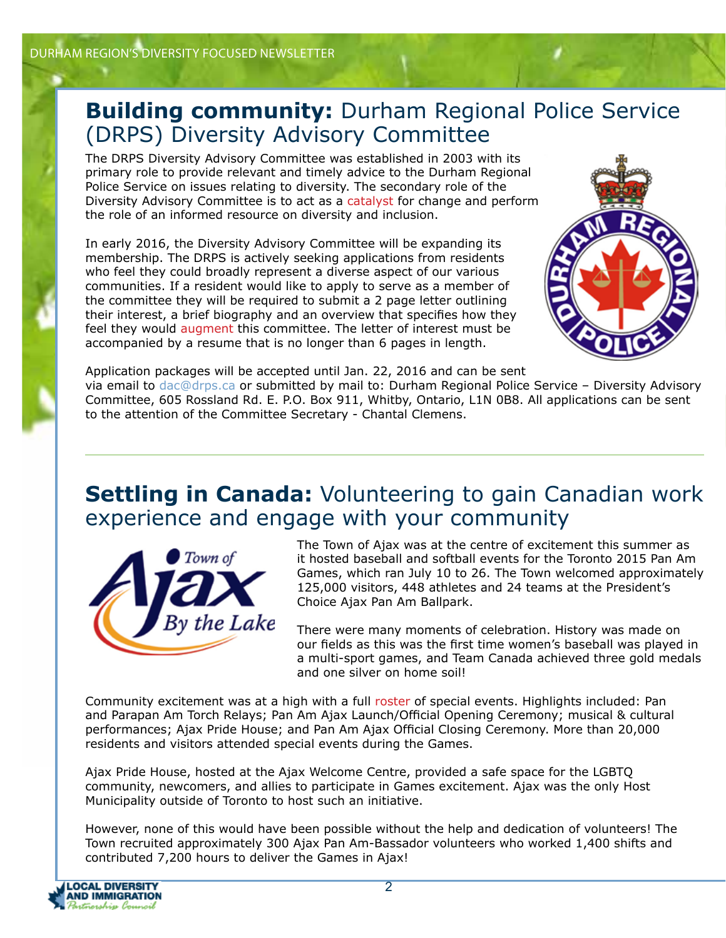#### **Building community:** Durham Regional Police Service (DRPS) Diversity Advisory Committee

The DRPS Diversity Advisory Committee was established in 2003 with its primary role to provide relevant and timely advice to the Durham Regional Police Service on issues relating to diversity. The secondary role of the Diversity Advisory Committee is to act as a catalyst for change and perform the role of an informed resource on diversity and inclusion.

In early 2016, the Diversity Advisory Committee will be expanding its membership. The DRPS is actively seeking applications from residents who feel they could broadly represent a diverse aspect of our various communities. If a resident would like to apply to serve as a member of the committee they will be required to submit a 2 page letter outlining their interest, a brief biography and an overview that specifies how they feel they would augment this committee. The letter of interest must be accompanied by a resume that is no longer than 6 pages in length.



Application packages will be accepted until Jan. 22, 2016 and can be sent

via email to dac@drps.ca or submitted by mail to: Durham Regional Police Service – Diversity Advisory Committee, 605 Rossland Rd. E. P.O. Box 911, Whitby, Ontario, L1N 0B8. All applications can be sent to the attention of the Committee Secretary - Chantal Clemens.

#### **Settling in Canada:** Volunteering to gain Canadian work experience and engage with your community



The Town of Ajax was at the centre of excitement this summer as it hosted baseball and softball events for the Toronto 2015 Pan Am Games, which ran July 10 to 26. The Town welcomed approximately 125,000 visitors, 448 athletes and 24 teams at the President's Choice Ajax Pan Am Ballpark.

There were many moments of celebration. History was made on our fields as this was the first time women's baseball was played in a multi-sport games, and Team Canada achieved three gold medals and one silver on home soil!

Community excitement was at a high with a full roster of special events. Highlights included: Pan and Parapan Am Torch Relays; Pan Am Ajax Launch/Official Opening Ceremony; musical & cultural performances; Ajax Pride House; and Pan Am Ajax Official Closing Ceremony. More than 20,000 residents and visitors attended special events during the Games.

Ajax Pride House, hosted at the Ajax Welcome Centre, provided a safe space for the LGBTQ community, newcomers, and allies to participate in Games excitement. Ajax was the only Host Municipality outside of Toronto to host such an initiative.

However, none of this would have been possible without the help and dedication of volunteers! The Town recruited approximately 300 Ajax Pan Am-Bassador volunteers who worked 1,400 shifts and contributed 7,200 hours to deliver the Games in Ajax!

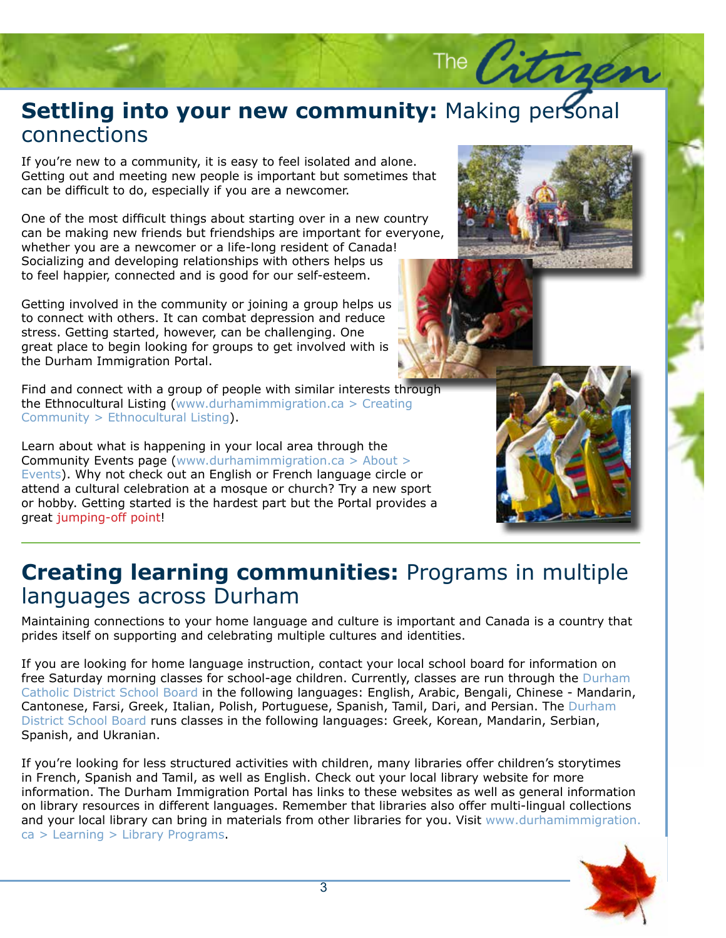### **Settling into your new community:** Making personal<br>connections connections

If you're new to a community, it is easy to feel isolated and alone.<br>Getting out and meeting new people is important but sometimes that If you're new to a community, it is easy to feel isolated and alone. can be difficult to do, especially if you are a newcomer.

One of the most difficult things about starting over in a new country can be making new friends but friendships are important for everyone, whether you are a newcomer or a life-long resident of Canada! Socializing and developing relationships with others helps us to feel happier, connected and is good for our self-esteem.

Getting involved in the community or joining a group helps us to connect with others. It can combat depression and reduce stress. Getting started, however, can be challenging. One great place to begin looking for groups to get involved with is the Durham Immigration Portal.

Find and connect with a group of people with similar interests through the Ethnocultural Listing (www.durhamimmigration.ca > Creating Community > Ethnocultural Listing).

Learn about what is happening in your local area through the Community Events page (www.durhamimmigration.ca > About > Events). Why not check out an English or French language circle or attend a cultural celebration at a mosque or church? Try a new sport or hobby. Getting started is the hardest part but the Portal provides a great jumping-off point!



The Citra



### **Creating learning communities:** Programs in multiple languages across Durham

Maintaining connections to your home language and culture is important and Canada is a country that prides itself on supporting and celebrating multiple cultures and identities.

If you are looking for home language instruction, contact your local school board for information on free Saturday morning classes for school-age children. Currently, classes are run through the Durham Catholic District School Board in the following languages: English, Arabic, Bengali, Chinese - Mandarin, Cantonese, Farsi, Greek, Italian, Polish, Portuguese, Spanish, Tamil, Dari, and Persian. The Durham District School Board runs classes in the following languages: Greek, Korean, Mandarin, Serbian, Spanish, and Ukranian.

If you're looking for less structured activities with children, many libraries offer children's storytimes in French, Spanish and Tamil, as well as English. Check out your local library website for more information. The Durham Immigration Portal has links to these websites as well as general information on library resources in different languages. Remember that libraries also offer multi-lingual collections and your local library can bring in materials from other libraries for you. Visit www.durhamimmigration. ca > Learning > Library Programs.

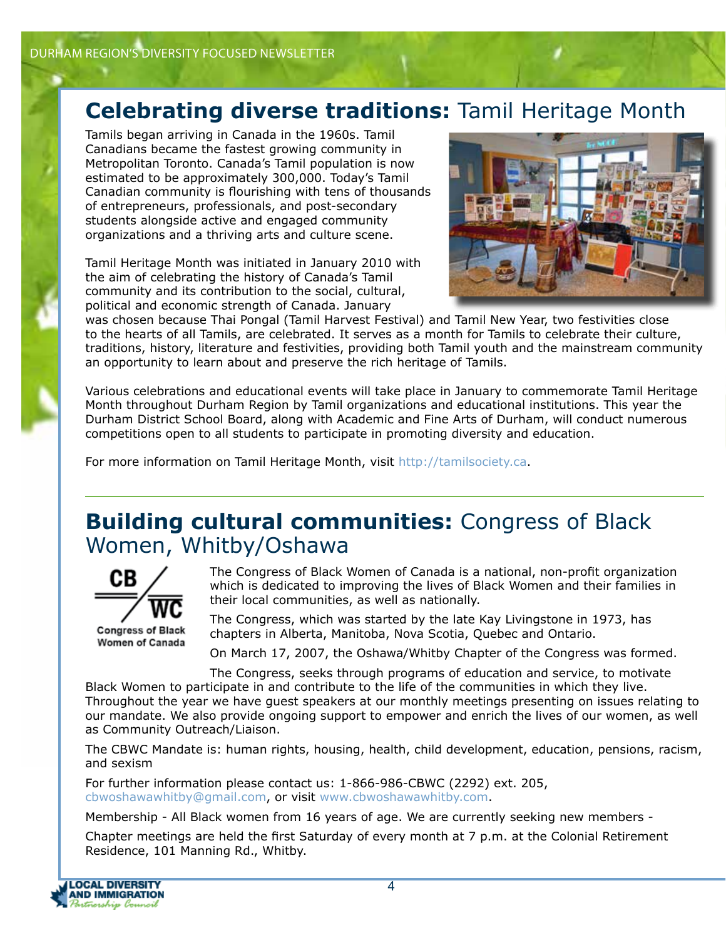### **Celebrating diverse traditions:** Tamil Heritage Month

Tamils began arriving in Canada in the 1960s. Tamil Canadians became the fastest growing community in Metropolitan Toronto. Canada's Tamil population is now estimated to be approximately 300,000. Today's Tamil Canadian community is flourishing with tens of thousands of entrepreneurs, professionals, and post-secondary students alongside active and engaged community organizations and a thriving arts and culture scene.

Tamil Heritage Month was initiated in January 2010 with the aim of celebrating the history of Canada's Tamil community and its contribution to the social, cultural, political and economic strength of Canada. January



was chosen because Thai Pongal (Tamil Harvest Festival) and Tamil New Year, two festivities close to the hearts of all Tamils, are celebrated. It serves as a month for Tamils to celebrate their culture, traditions, history, literature and festivities, providing both Tamil youth and the mainstream community an opportunity to learn about and preserve the rich heritage of Tamils.

Various celebrations and educational events will take place in January to commemorate Tamil Heritage Month throughout Durham Region by Tamil organizations and educational institutions. This year the Durham District School Board, along with Academic and Fine Arts of Durham, will conduct numerous competitions open to all students to participate in promoting diversity and education.

For more information on Tamil Heritage Month, visit http://tamilsociety.ca.

### **Building cultural communities:** Congress of Black Women, Whitby/Oshawa



The Congress of Black Women of Canada is a national, non-profit organization which is dedicated to improving the lives of Black Women and their families in their local communities, as well as nationally.

The Congress, which was started by the late Kay Livingstone in 1973, has chapters in Alberta, Manitoba, Nova Scotia, Quebec and Ontario.

On March 17, 2007, the Oshawa/Whitby Chapter of the Congress was formed.

The Congress, seeks through programs of education and service, to motivate Black Women to participate in and contribute to the life of the communities in which they live. Throughout the year we have guest speakers at our monthly meetings presenting on issues relating to our mandate. We also provide ongoing support to empower and enrich the lives of our women, as well as Community Outreach/Liaison.

The CBWC Mandate is: human rights, housing, health, child development, education, pensions, racism, and sexism

For further information please contact us: 1-866-986-CBWC (2292) ext. 205, cbwoshawawhitby@gmail.com, or visit www.cbwoshawawhitby.com.

Membership - All Black women from 16 years of age. We are currently seeking new members -

Chapter meetings are held the first Saturday of every month at 7 p.m. at the Colonial Retirement Residence, 101 Manning Rd., Whitby.

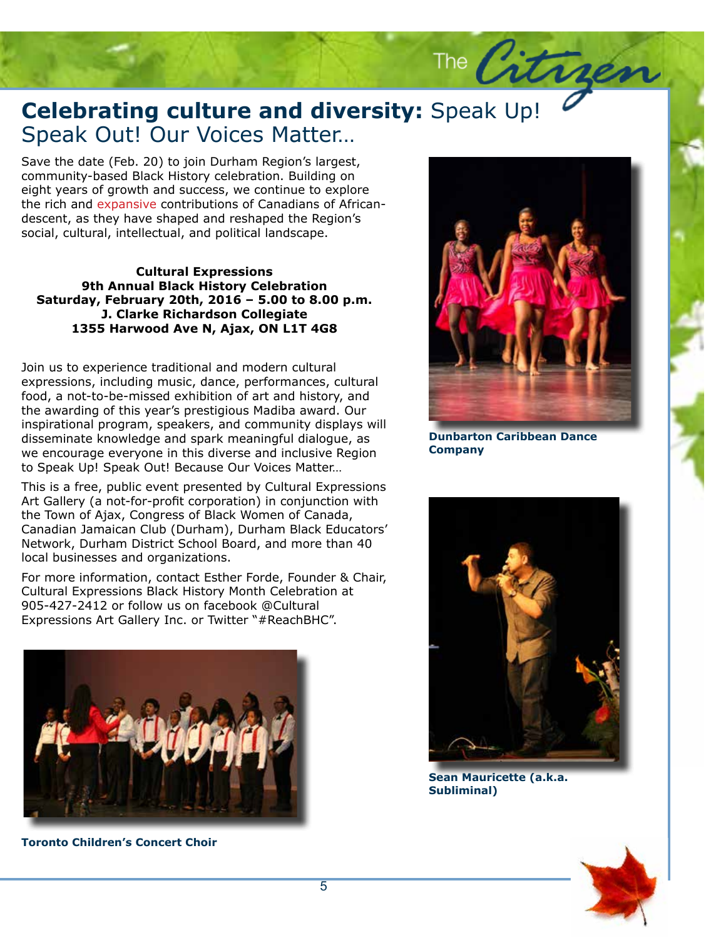#### **Celebrating culture and diversity:** Speak Up!<br>Speak Out! Our Voices Matter... Speak Out! Our Voices Matter…

Save the date (Feb. 20) to join Durham Region's largest,<br>community-based Black History celebration. Building on Save the date (Feb. 20) to join Durham Region's largest, eight years of growth and success, we continue to explore the rich and expansive contributions of Canadians of Africandescent, as they have shaped and reshaped the Region's social, cultural, intellectual, and political landscape.

**Cultural Expressions 9th Annual Black History Celebration Saturday, February 20th, 2016 – 5.00 to 8.00 p.m. J. Clarke Richardson Collegiate 1355 Harwood Ave N, Ajax, ON L1T 4G8** 

Join us to experience traditional and modern cultural expressions, including music, dance, performances, cultural food, a not-to-be-missed exhibition of art and history, and the awarding of this year's prestigious Madiba award. Our inspirational program, speakers, and community displays will disseminate knowledge and spark meaningful dialogue, as we encourage everyone in this diverse and inclusive Region to Speak Up! Speak Out! Because Our Voices Matter…

This is a free, public event presented by Cultural Expressions Art Gallery (a not-for-profit corporation) in conjunction with the Town of Ajax, Congress of Black Women of Canada, Canadian Jamaican Club (Durham), Durham Black Educators' Network, Durham District School Board, and more than 40 local businesses and organizations.

For more information, contact Esther Forde, Founder & Chair, Cultural Expressions Black History Month Celebration at 905-427-2412 or follow us on facebook @Cultural Expressions Art Gallery Inc. or Twitter "#ReachBHC".



**Toronto Children's Concert Choir**



The Citrges

parton Caribbean Dance<br>pany **Dunbarton Caribbean Dance Company**



**Sean Mauricette (a.k.a. Subliminal)**

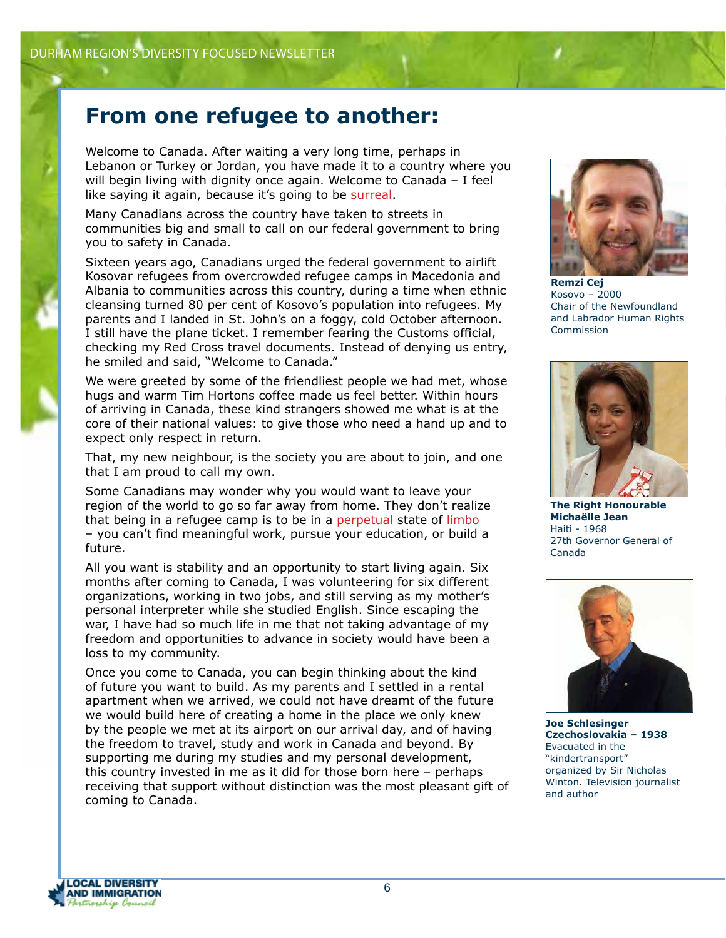#### **From one refugee to another:**

Welcome to Canada. After waiting a very long time, perhaps in Lebanon or Turkey or Jordan, you have made it to a country where you will begin living with dignity once again. Welcome to Canada – I feel like saying it again, because it's going to be surreal.

Many Canadians across the country have taken to streets in communities big and small to call on our federal government to bring you to safety in Canada.

Sixteen years ago, Canadians urged the federal government to airlift Kosovar refugees from overcrowded refugee camps in Macedonia and Albania to communities across this country, during a time when ethnic cleansing turned 80 per cent of Kosovo's population into refugees. My parents and I landed in St. John's on a foggy, cold October afternoon. I still have the plane ticket. I remember fearing the Customs official, checking my Red Cross travel documents. Instead of denying us entry, he smiled and said, "Welcome to Canada."

We were greeted by some of the friendliest people we had met, whose hugs and warm Tim Hortons coffee made us feel better. Within hours of arriving in Canada, these kind strangers showed me what is at the core of their national values: to give those who need a hand up and to expect only respect in return.

That, my new neighbour, is the society you are about to join, and one that I am proud to call my own.

Some Canadians may wonder why you would want to leave your region of the world to go so far away from home. They don't realize that being in a refugee camp is to be in a perpetual state of limbo – you can't find meaningful work, pursue your education, or build a future.

All you want is stability and an opportunity to start living again. Six months after coming to Canada, I was volunteering for six different organizations, working in two jobs, and still serving as my mother's personal interpreter while she studied English. Since escaping the war, I have had so much life in me that not taking advantage of my freedom and opportunities to advance in society would have been a loss to my community.

Once you come to Canada, you can begin thinking about the kind of future you want to build. As my parents and I settled in a rental apartment when we arrived, we could not have dreamt of the future we would build here of creating a home in the place we only knew by the people we met at its airport on our arrival day, and of having the freedom to travel, study and work in Canada and beyond. By supporting me during my studies and my personal development, this country invested in me as it did for those born here – perhaps receiving that support without distinction was the most pleasant gift of coming to Canada.



**Remzi Cej**  Kosovo – 2000 Chair of the Newfoundland and Labrador Human Rights Commission



**The Right Honourable Michaëlle Jean**  Haiti - 1968 27th Governor General of Canada



**Joe Schlesinger Czechoslovakia – 1938** Evacuated in the "kindertransport" organized by Sir Nicholas Winton. Television journalist and author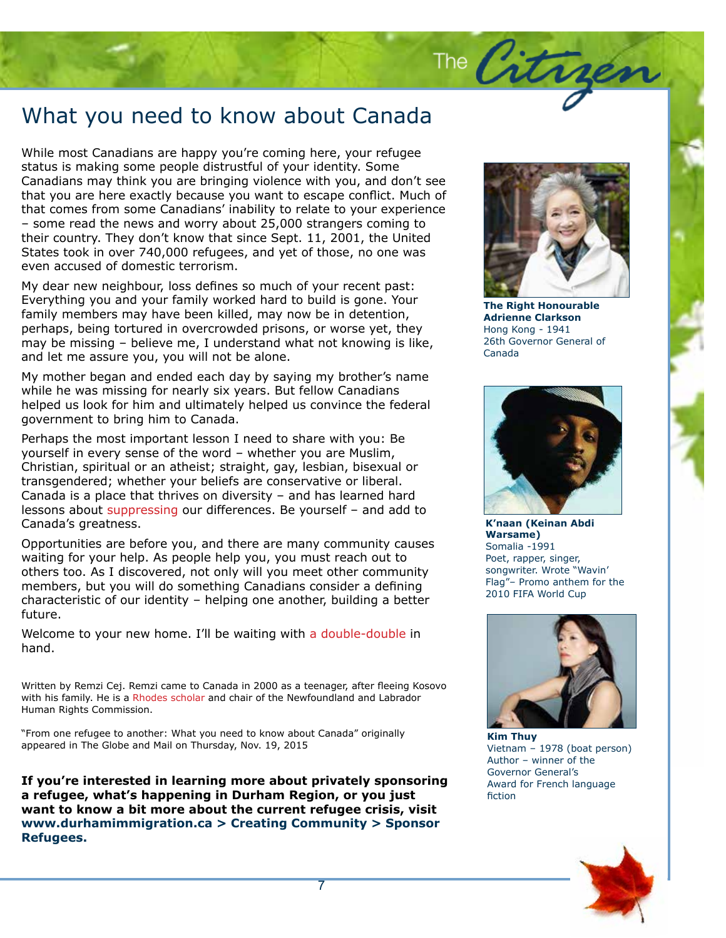# What you need to know about Canada

While most Canadians are happy you're coming here, your refugee status is making some people distrustful of your identity. Some Canadians may think you are bringing violence with you, and don't see that you are here exactly because you want to escape conflict. Much of that comes from some Canadians' inability to relate to your experience – some read the news and worry about 25,000 strangers coming to their country. They don't know that since Sept. 11, 2001, the United States took in over 740,000 refugees, and yet of those, no one was even accused of domestic terrorism.

My dear new neighbour, loss defines so much of your recent past: Everything you and your family worked hard to build is gone. Your family members may have been killed, may now be in detention, perhaps, being tortured in overcrowded prisons, or worse yet, they may be missing – believe me, I understand what not knowing is like, and let me assure you, you will not be alone.

My mother began and ended each day by saying my brother's name while he was missing for nearly six years. But fellow Canadians helped us look for him and ultimately helped us convince the federal government to bring him to Canada.

Perhaps the most important lesson I need to share with you: Be yourself in every sense of the word – whether you are Muslim, Christian, spiritual or an atheist; straight, gay, lesbian, bisexual or transgendered; whether your beliefs are conservative or liberal. Canada is a place that thrives on diversity – and has learned hard lessons about suppressing our differences. Be yourself – and add to Canada's greatness.

Opportunities are before you, and there are many community causes waiting for your help. As people help you, you must reach out to others too. As I discovered, not only will you meet other community members, but you will do something Canadians consider a defining characteristic of our identity – helping one another, building a better future.

Welcome to your new home. I'll be waiting with a double-double in hand.

Written by Remzi Cej. Remzi came to Canada in 2000 as a teenager, after fleeing Kosovo with his family. He is a Rhodes scholar and chair of the Newfoundland and Labrador Human Rights Commission.

"From one refugee to another: What you need to know about Canada" originally appeared in The Globe and Mail on Thursday, Nov. 19, 2015

**If you're interested in learning more about privately sponsoring a refugee, what's happening in Durham Region, or you just want to know a bit more about the current refugee crisis, visit www.durhamimmigration.ca > Creating Community > Sponsor Refugees.**



The Citrgen

Canada<br>Canada **The Right Honourable Adrienne Clarkson** Hong Kong - 1941 26th Governor General of Canada



**K'naan (Keinan Abdi Warsame)**  Somalia -1991 Poet, rapper, singer, songwriter. Wrote "Wavin' Flag"– Promo anthem for the 2010 FIFA World Cup



**Kim Thuy** Vietnam – 1978 (boat person) Author – winner of the Governor General's Award for French language fiction

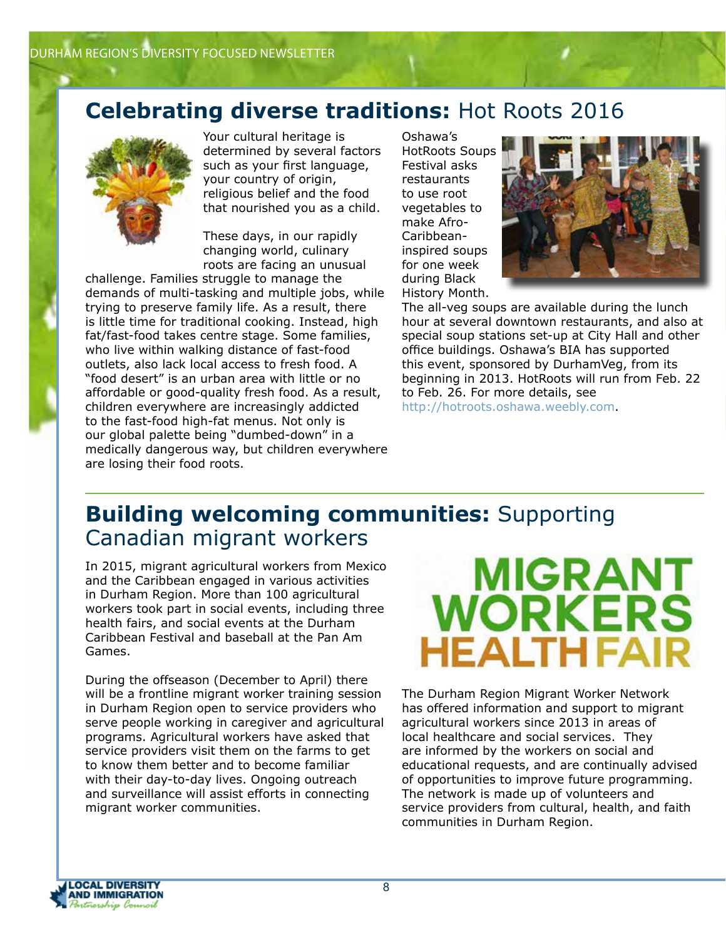### **Celebrating diverse traditions:** Hot Roots 2016



Your cultural heritage is determined by several factors such as your first language, your country of origin, religious belief and the food that nourished you as a child.

These days, in our rapidly changing world, culinary roots are facing an unusual

challenge. Families struggle to manage the demands of multi-tasking and multiple jobs, while trying to preserve family life. As a result, there is little time for traditional cooking. Instead, high fat/fast-food takes centre stage. Some families, who live within walking distance of fast-food outlets, also lack local access to fresh food. A "food desert" is an urban area with little or no affordable or good-quality fresh food. As a result, children everywhere are increasingly addicted to the fast-food high-fat menus. Not only is our global palette being "dumbed-down" in a medically dangerous way, but children everywhere are losing their food roots.

Oshawa's HotRoots Soups Festival asks restaurants to use root vegetables to make Afro-Caribbeaninspired soups for one week during Black History Month.



The all-veg soups are available during the lunch hour at several downtown restaurants, and also at special soup stations set-up at City Hall and other office buildings. Oshawa's BIA has supported this event, sponsored by DurhamVeg, from its beginning in 2013. HotRoots will run from Feb. 22 to Feb. 26. For more details, see http://hotroots.oshawa.weebly.com.

#### **Building welcoming communities:** Supporting Canadian migrant workers

In 2015, migrant agricultural workers from Mexico and the Caribbean engaged in various activities in Durham Region. More than 100 agricultural workers took part in social events, including three health fairs, and social events at the Durham Caribbean Festival and baseball at the Pan Am Games.

During the offseason (December to April) there will be a frontline migrant worker training session in Durham Region open to service providers who serve people working in caregiver and agricultural programs. Agricultural workers have asked that service providers visit them on the farms to get to know them better and to become familiar with their day-to-day lives. Ongoing outreach and surveillance will assist efforts in connecting migrant worker communities.



The Durham Region Migrant Worker Network has offered information and support to migrant agricultural workers since 2013 in areas of local healthcare and social services. They are informed by the workers on social and educational requests, and are continually advised of opportunities to improve future programming. The network is made up of volunteers and service providers from cultural, health, and faith communities in Durham Region.

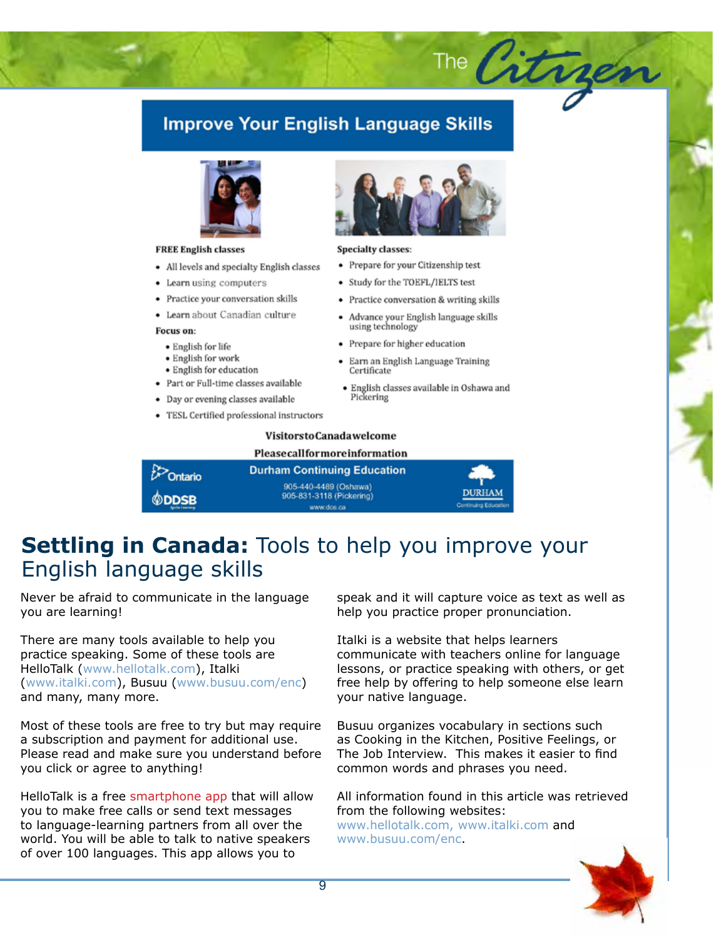#### **Improve Your English Language Skills**



#### **FREE English classes**

- All levels and specialty English classes
- Learn using computers
- Practice your conversation skills
- · Learn about Canadian culture

#### Focus on:

- · English for life
- · English for work
- · English for education
- · Part or Full-time classes available
- Day or evening classes available
- TESL Certified professional instructors



The Citrgen

#### **Specialty classes:**

- Prepare for your Citizenship test
- Study for the TOEFL/IELTS test
- Practice conversation & writing skills
- Advance your English language skills using technology
- Prepare for higher education
- Earn an English Language Training Certificate
- · English classes available in Oshawa and Pickering

#### **VisitorstoCanadawelcome**

#### Pleasecallformoreinformation

| $\mathcal{B}$ Ontario | <b>Durham Continuing Education</b>                |                                       |
|-----------------------|---------------------------------------------------|---------------------------------------|
| <b>©DDSB</b>          | 905-440-4489 (Oshawa)<br>905-831-3118 (Pickering) | <b>DURHAM</b><br>Continuing Education |
| Aprile Learning       | www.dce.ca                                        |                                       |

#### **Settling in Canada:** Tools to help you improve your English language skills

Never be afraid to communicate in the language you are learning!

There are many tools available to help you practice speaking. Some of these tools are HelloTalk (www.hellotalk.com), Italki (www.italki.com), Busuu (www.busuu.com/enc) and many, many more.

Most of these tools are free to try but may require a subscription and payment for additional use. Please read and make sure you understand before you click or agree to anything!

HelloTalk is a free smartphone app that will allow you to make free calls or send text messages to language-learning partners from all over the world. You will be able to talk to native speakers of over 100 languages. This app allows you to

speak and it will capture voice as text as well as help you practice proper pronunciation.

Italki is a website that helps learners communicate with teachers online for language lessons, or practice speaking with others, or get free help by offering to help someone else learn your native language.

Busuu organizes vocabulary in sections such as Cooking in the Kitchen, Positive Feelings, or The Job Interview. This makes it easier to find common words and phrases you need.

All information found in this article was retrieved from the following websites:

www.hellotalk.com, www.italki.com and www.busuu.com/enc.

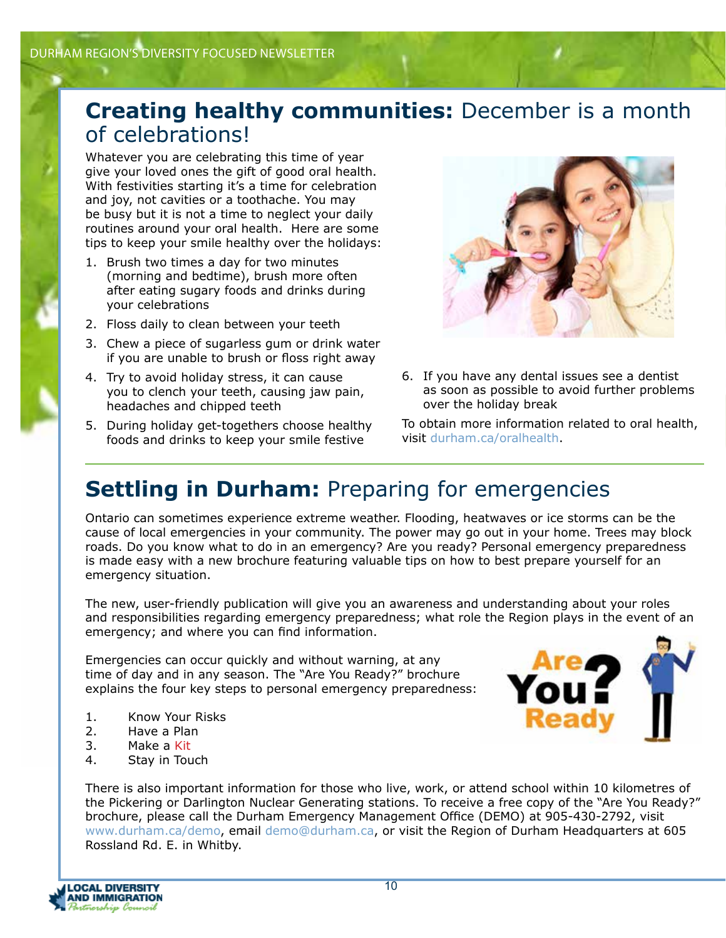### **Creating healthy communities:** December is a month of celebrations!

Whatever you are celebrating this time of year give your loved ones the gift of good oral health. With festivities starting it's a time for celebration and joy, not cavities or a toothache. You may be busy but it is not a time to neglect your daily routines around your oral health. Here are some tips to keep your smile healthy over the holidays:

- 1. Brush two times a day for two minutes (morning and bedtime), brush more often after eating sugary foods and drinks during your celebrations
- 2. Floss daily to clean between your teeth
- 3. Chew a piece of sugarless gum or drink water if you are unable to brush or floss right away
- 4. Try to avoid holiday stress, it can cause you to clench your teeth, causing jaw pain, headaches and chipped teeth
- 5. During holiday get-togethers choose healthy foods and drinks to keep your smile festive



6. If you have any dental issues see a dentist as soon as possible to avoid further problems over the holiday break

To obtain more information related to oral health, visit durham.ca/oralhealth.

## **Settling in Durham: Preparing for emergencies**

Ontario can sometimes experience extreme weather. Flooding, heatwaves or ice storms can be the cause of local emergencies in your community. The power may go out in your home. Trees may block roads. Do you know what to do in an emergency? Are you ready? Personal emergency preparedness is made easy with a new brochure featuring valuable tips on how to best prepare yourself for an emergency situation.

The new, user-friendly publication will give you an awareness and understanding about your roles and responsibilities regarding emergency preparedness; what role the Region plays in the event of an emergency; and where you can find information.

Emergencies can occur quickly and without warning, at any time of day and in any season. The "Are You Ready?" brochure explains the four key steps to personal emergency preparedness:

- 1. Know Your Risks<br>2. Have a Plan
- Have a Plan
- 3. Make a Kit
- 4. Stay in Touch



There is also important information for those who live, work, or attend school within 10 kilometres of the Pickering or Darlington Nuclear Generating stations. To receive a free copy of the "Are You Ready?" brochure, please call the Durham Emergency Management Office (DEMO) at 905-430-2792, visit www.durham.ca/demo, email demo@durham.ca, or visit the Region of Durham Headquarters at 605 Rossland Rd. E. in Whitby.

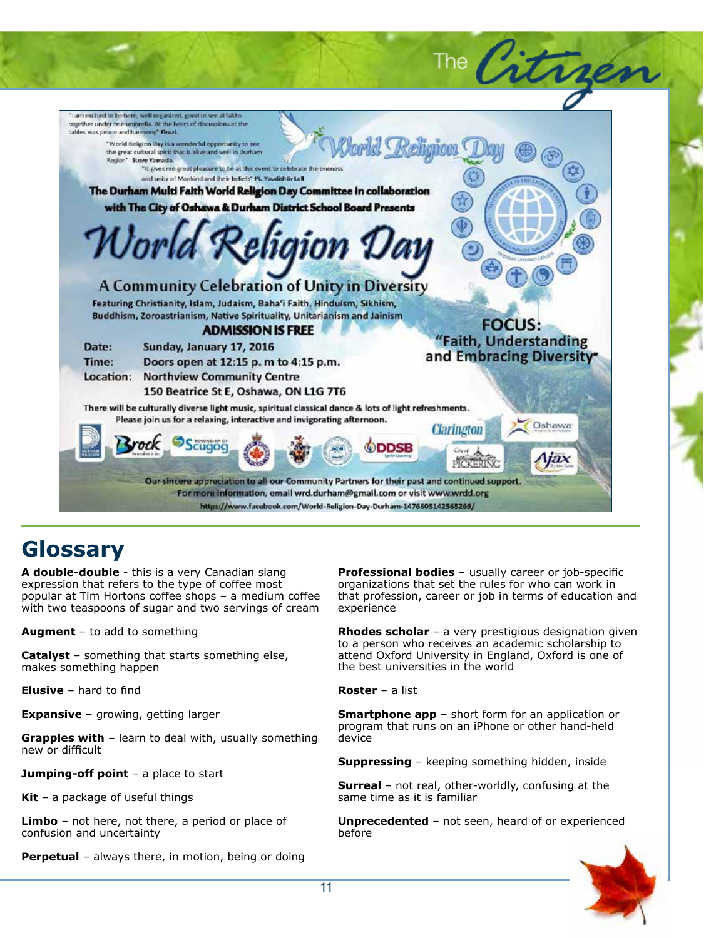

### **Glossary**

**A double-double** - this is a very Canadian slang expression that refers to the type of coffee most popular at Tim Hortons coffee shops – a medium coffee with two teaspoons of sugar and two servings of cream

**Augment** – to add to something

**Catalyst** – something that starts something else, makes something happen

**Elusive** – hard to find

**Expansive** – growing, getting larger

**Grapples with** – learn to deal with, usually something new or difficult

**Jumping-off point** – a place to start

**Kit** – a package of useful things

**Limbo** – not here, not there, a period or place of confusion and uncertainty

**Perpetual** – always there, in motion, being or doing

**Professional bodies** – usually career or job-specific organizations that set the rules for who can work in that profession, career or job in terms of education and experience

**Rhodes scholar** – a very prestigious designation given to a person who receives an academic scholarship to attend Oxford University in England, Oxford is one of the best universities in the world

**Roster** – a list

**Smartphone app** – short form for an application or program that runs on an iPhone or other hand-held device

**Suppressing** – keeping something hidden, inside

**Surreal** – not real, other-worldly, confusing at the same time as it is familiar

**Unprecedented** – not seen, heard of or experienced before